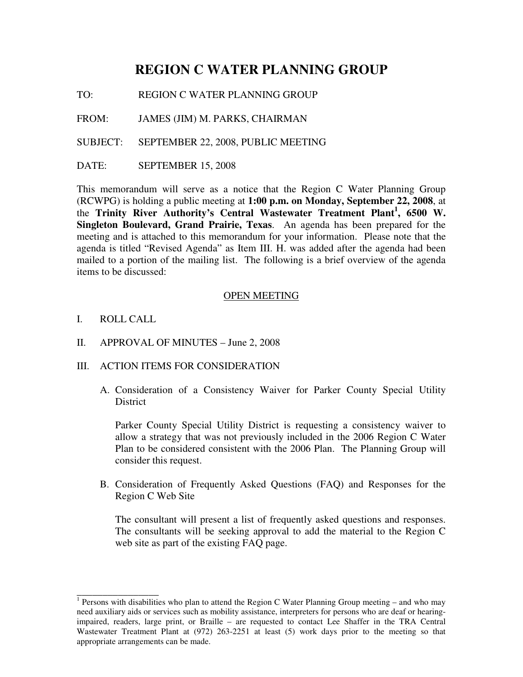# **REGION C WATER PLANNING GROUP**

TO: REGION C WATER PLANNING GROUP

FROM: JAMES (JIM) M. PARKS, CHAIRMAN

SUBJECT: SEPTEMBER 22, 2008, PUBLIC MEETING

DATE: SEPTEMBER 15, 2008

This memorandum will serve as a notice that the Region C Water Planning Group (RCWPG) is holding a public meeting at **1:00 p.m. on Monday, September 22, 2008**, at the **Trinity River Authority's Central Wastewater Treatment Plant<sup>1</sup> , 6500 W. Singleton Boulevard, Grand Prairie, Texas**. An agenda has been prepared for the meeting and is attached to this memorandum for your information. Please note that the agenda is titled "Revised Agenda" as Item III. H. was added after the agenda had been mailed to a portion of the mailing list. The following is a brief overview of the agenda items to be discussed:

#### OPEN MEETING

I. ROLL CALL

\_\_\_\_\_\_\_\_\_\_\_\_\_\_\_\_

- II. APPROVAL OF MINUTES June 2, 2008
- III. ACTION ITEMS FOR CONSIDERATION
	- A. Consideration of a Consistency Waiver for Parker County Special Utility **District**

Parker County Special Utility District is requesting a consistency waiver to allow a strategy that was not previously included in the 2006 Region C Water Plan to be considered consistent with the 2006 Plan. The Planning Group will consider this request.

B. Consideration of Frequently Asked Questions (FAQ) and Responses for the Region C Web Site

The consultant will present a list of frequently asked questions and responses. The consultants will be seeking approval to add the material to the Region C web site as part of the existing FAQ page.

<sup>&</sup>lt;sup>1</sup> Persons with disabilities who plan to attend the Region C Water Planning Group meeting – and who may need auxiliary aids or services such as mobility assistance, interpreters for persons who are deaf or hearingimpaired, readers, large print, or Braille – are requested to contact Lee Shaffer in the TRA Central Wastewater Treatment Plant at (972) 263-2251 at least (5) work days prior to the meeting so that appropriate arrangements can be made.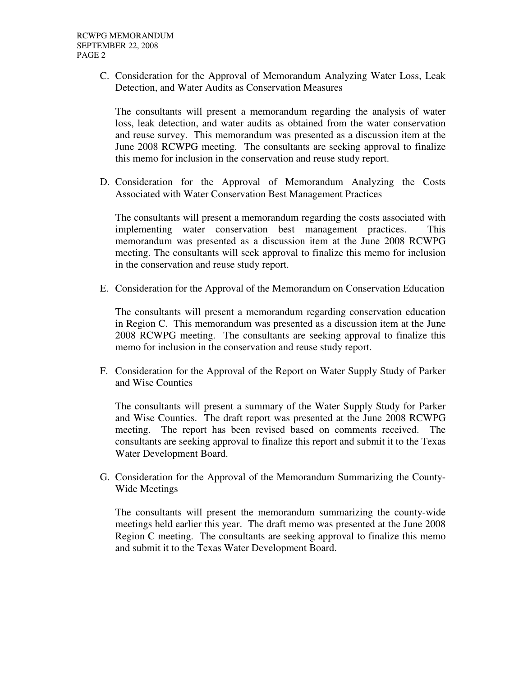C. Consideration for the Approval of Memorandum Analyzing Water Loss, Leak Detection, and Water Audits as Conservation Measures

The consultants will present a memorandum regarding the analysis of water loss, leak detection, and water audits as obtained from the water conservation and reuse survey. This memorandum was presented as a discussion item at the June 2008 RCWPG meeting. The consultants are seeking approval to finalize this memo for inclusion in the conservation and reuse study report.

D. Consideration for the Approval of Memorandum Analyzing the Costs Associated with Water Conservation Best Management Practices

The consultants will present a memorandum regarding the costs associated with implementing water conservation best management practices. This memorandum was presented as a discussion item at the June 2008 RCWPG meeting. The consultants will seek approval to finalize this memo for inclusion in the conservation and reuse study report.

E. Consideration for the Approval of the Memorandum on Conservation Education

The consultants will present a memorandum regarding conservation education in Region C. This memorandum was presented as a discussion item at the June 2008 RCWPG meeting. The consultants are seeking approval to finalize this memo for inclusion in the conservation and reuse study report.

F. Consideration for the Approval of the Report on Water Supply Study of Parker and Wise Counties

The consultants will present a summary of the Water Supply Study for Parker and Wise Counties. The draft report was presented at the June 2008 RCWPG meeting. The report has been revised based on comments received. The consultants are seeking approval to finalize this report and submit it to the Texas Water Development Board.

G. Consideration for the Approval of the Memorandum Summarizing the County-Wide Meetings

The consultants will present the memorandum summarizing the county-wide meetings held earlier this year. The draft memo was presented at the June 2008 Region C meeting. The consultants are seeking approval to finalize this memo and submit it to the Texas Water Development Board.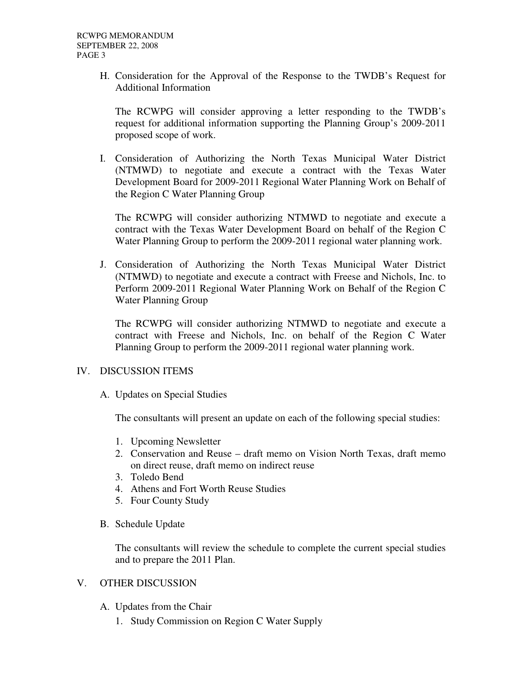H. Consideration for the Approval of the Response to the TWDB's Request for Additional Information

The RCWPG will consider approving a letter responding to the TWDB's request for additional information supporting the Planning Group's 2009-2011 proposed scope of work.

I. Consideration of Authorizing the North Texas Municipal Water District (NTMWD) to negotiate and execute a contract with the Texas Water Development Board for 2009-2011 Regional Water Planning Work on Behalf of the Region C Water Planning Group

The RCWPG will consider authorizing NTMWD to negotiate and execute a contract with the Texas Water Development Board on behalf of the Region C Water Planning Group to perform the 2009-2011 regional water planning work.

J. Consideration of Authorizing the North Texas Municipal Water District (NTMWD) to negotiate and execute a contract with Freese and Nichols, Inc. to Perform 2009-2011 Regional Water Planning Work on Behalf of the Region C Water Planning Group

The RCWPG will consider authorizing NTMWD to negotiate and execute a contract with Freese and Nichols, Inc. on behalf of the Region C Water Planning Group to perform the 2009-2011 regional water planning work.

### IV. DISCUSSION ITEMS

A. Updates on Special Studies

The consultants will present an update on each of the following special studies:

- 1. Upcoming Newsletter
- 2. Conservation and Reuse draft memo on Vision North Texas, draft memo on direct reuse, draft memo on indirect reuse
- 3. Toledo Bend
- 4. Athens and Fort Worth Reuse Studies
- 5. Four County Study
- B. Schedule Update

The consultants will review the schedule to complete the current special studies and to prepare the 2011 Plan.

### V. OTHER DISCUSSION

- A. Updates from the Chair
	- 1. Study Commission on Region C Water Supply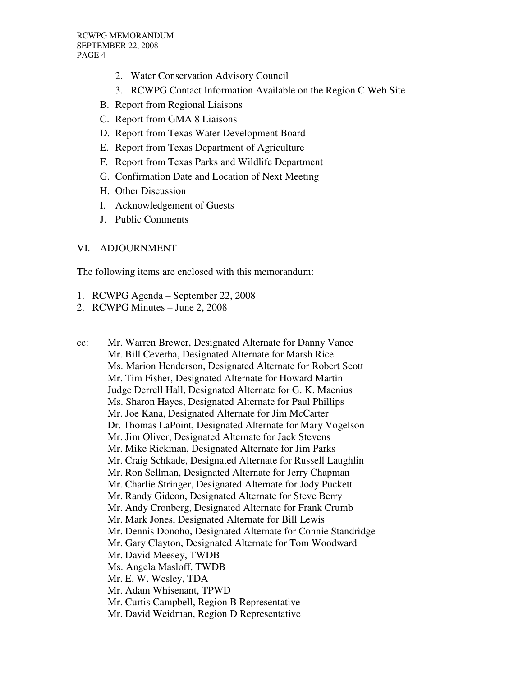- 2. Water Conservation Advisory Council
- 3. RCWPG Contact Information Available on the Region C Web Site
- B. Report from Regional Liaisons
- C. Report from GMA 8 Liaisons
- D. Report from Texas Water Development Board
- E. Report from Texas Department of Agriculture
- F. Report from Texas Parks and Wildlife Department
- G. Confirmation Date and Location of Next Meeting
- H. Other Discussion
- I. Acknowledgement of Guests
- J. Public Comments

## VI. ADJOURNMENT

The following items are enclosed with this memorandum:

- 1. RCWPG Agenda September 22, 2008
- 2. RCWPG Minutes June 2, 2008
- cc: Mr. Warren Brewer, Designated Alternate for Danny Vance Mr. Bill Ceverha, Designated Alternate for Marsh Rice Ms. Marion Henderson, Designated Alternate for Robert Scott Mr. Tim Fisher, Designated Alternate for Howard Martin Judge Derrell Hall, Designated Alternate for G. K. Maenius Ms. Sharon Hayes, Designated Alternate for Paul Phillips Mr. Joe Kana, Designated Alternate for Jim McCarter Dr. Thomas LaPoint, Designated Alternate for Mary Vogelson Mr. Jim Oliver, Designated Alternate for Jack Stevens Mr. Mike Rickman, Designated Alternate for Jim Parks Mr. Craig Schkade, Designated Alternate for Russell Laughlin Mr. Ron Sellman, Designated Alternate for Jerry Chapman Mr. Charlie Stringer, Designated Alternate for Jody Puckett Mr. Randy Gideon, Designated Alternate for Steve Berry Mr. Andy Cronberg, Designated Alternate for Frank Crumb Mr. Mark Jones, Designated Alternate for Bill Lewis Mr. Dennis Donoho, Designated Alternate for Connie Standridge Mr. Gary Clayton, Designated Alternate for Tom Woodward Mr. David Meesey, TWDB Ms. Angela Masloff, TWDB Mr. E. W. Wesley, TDA Mr. Adam Whisenant, TPWD Mr. Curtis Campbell, Region B Representative Mr. David Weidman, Region D Representative